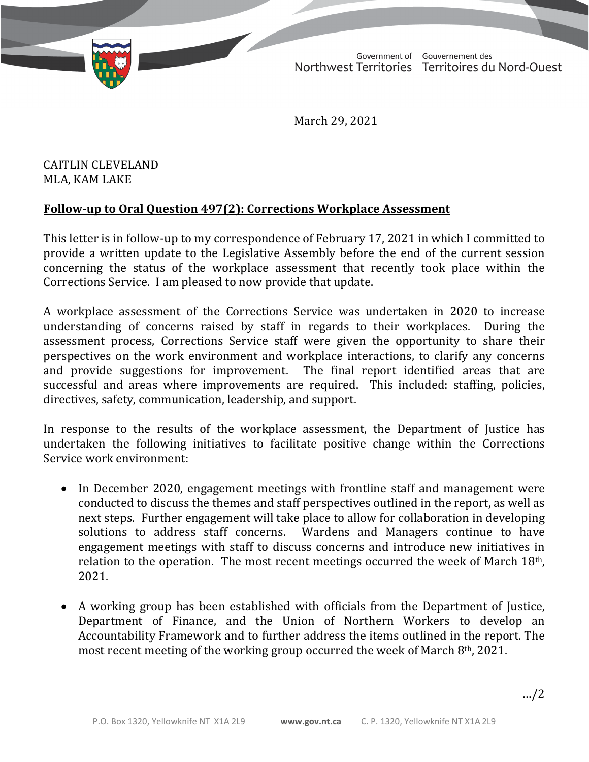TD 365-19(2) TABLED ON MARCH 30, 2021

Government of Gouvernement des Northwest Territories Territoires du Nord-Ouest

March 29, 2021

CAITLIN CLEVELAND MLA, KAM LAKE

## **Follow-up to Oral Question 497(2): Corrections Workplace Assessment**

This letter is in follow-up to my correspondence of February 17, 2021 in which I committed to provide a written update to the Legislative Assembly before the end of the current session concerning the status of the workplace assessment that recently took place within the Corrections Service. I am pleased to now provide that update.

A workplace assessment of the Corrections Service was undertaken in 2020 to increase understanding of concerns raised by staff in regards to their workplaces. During the assessment process, Corrections Service staff were given the opportunity to share their perspectives on the work environment and workplace interactions, to clarify any concerns and provide suggestions for improvement. The final report identified areas that are successful and areas where improvements are required. This included: staffing, policies, directives, safety, communication, leadership, and support.

In response to the results of the workplace assessment, the Department of Justice has undertaken the following initiatives to facilitate positive change within the Corrections Service work environment:

- In December 2020, engagement meetings with frontline staff and management were conducted to discuss the themes and staff perspectives outlined in the report, as well as next steps. Further engagement will take place to allow for collaboration in developing<br>solutions to address staff concerns. Wardens and Managers continue to have Wardens and Managers continue to have engagement meetings with staff to discuss concerns and introduce new initiatives in relation to the operation. The most recent meetings occurred the week of March  $18<sup>th</sup>$ , 2021.
- A working group has been established with officials from the Department of Justice, Department of Finance, and the Union of Northern Workers to develop an Accountability Framework and to further address the items outlined in the report. The most recent meeting of the working group occurred the week of March 8th, 2021.

…/2